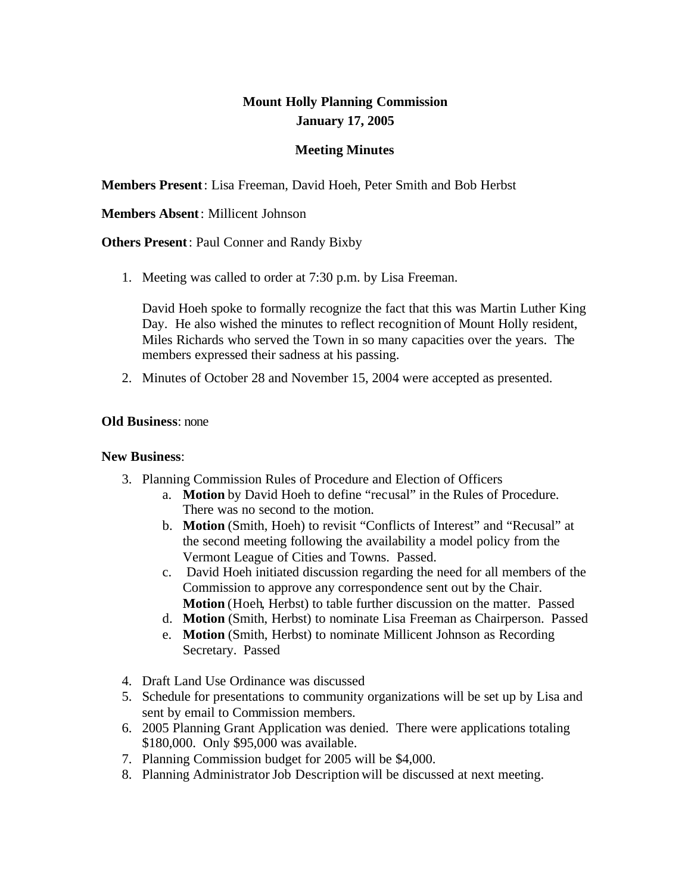# **Mount Holly Planning Commission January 17, 2005**

## **Meeting Minutes**

**Members Present**: Lisa Freeman, David Hoeh, Peter Smith and Bob Herbst

### **Members Absent**: Millicent Johnson

**Others Present**: Paul Conner and Randy Bixby

1. Meeting was called to order at 7:30 p.m. by Lisa Freeman.

David Hoeh spoke to formally recognize the fact that this was Martin Luther King Day. He also wished the minutes to reflect recognition of Mount Holly resident, Miles Richards who served the Town in so many capacities over the years. The members expressed their sadness at his passing.

2. Minutes of October 28 and November 15, 2004 were accepted as presented.

## **Old Business**: none

#### **New Business**:

- 3. Planning Commission Rules of Procedure and Election of Officers
	- a. **Motion** by David Hoeh to define "recusal" in the Rules of Procedure. There was no second to the motion.
	- b. **Motion** (Smith, Hoeh) to revisit "Conflicts of Interest" and "Recusal" at the second meeting following the availability a model policy from the Vermont League of Cities and Towns. Passed.
	- c. David Hoeh initiated discussion regarding the need for all members of the Commission to approve any correspondence sent out by the Chair. **Motion** (Hoeh, Herbst) to table further discussion on the matter. Passed
	- d. **Motion** (Smith, Herbst) to nominate Lisa Freeman as Chairperson. Passed
	- e. **Motion** (Smith, Herbst) to nominate Millicent Johnson as Recording Secretary. Passed
- 4. Draft Land Use Ordinance was discussed
- 5. Schedule for presentations to community organizations will be set up by Lisa and sent by email to Commission members.
- 6. 2005 Planning Grant Application was denied. There were applications totaling \$180,000. Only \$95,000 was available.
- 7. Planning Commission budget for 2005 will be \$4,000.
- 8. Planning Administrator Job Description will be discussed at next meeting.